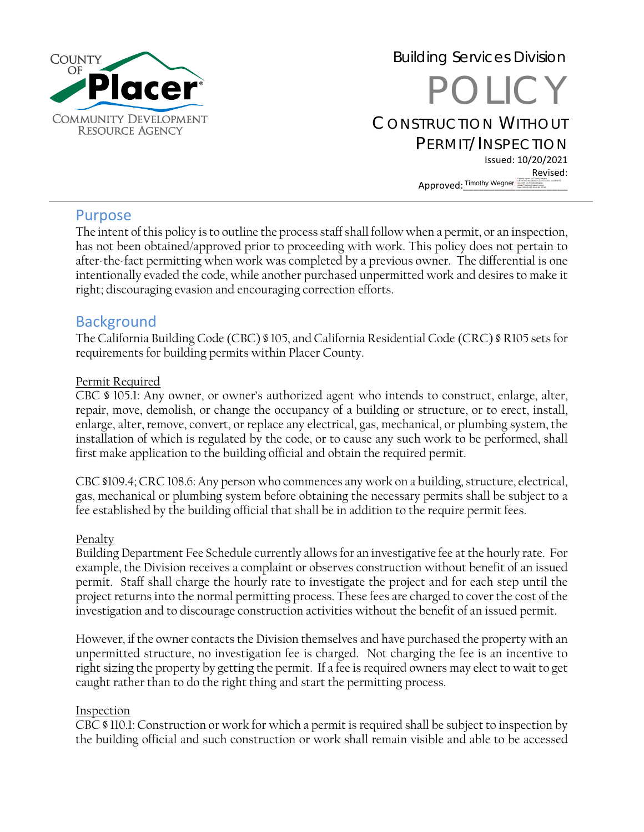

# Building Services Division POLICY CONSTRUCTION WITHOUT PERMIT/INSPECTION Issued: 10/20/2021 Revised: Approved: Timothy Wegner **Digital Digital Line Replace Complete**

### Purpose

The intent of this policy is to outline the process staff shall follow when a permit, or an inspection, has not been obtained/approved prior to proceeding with work. This policy does not pertain to after-the-fact permitting when work was completed by a previous owner. The differential is one intentionally evaded the code, while another purchased unpermitted work and desires to make it right; discouraging evasion and encouraging correction efforts.

## **Background**

The California Building Code (CBC) § 105, and California Residential Code (CRC) § R105 sets for requirements for building permits within Placer County.

#### Permit Required

CBC § 105.1: Any owner, or owner's authorized agent who intends to construct, enlarge, alter, repair, move, demolish, or change the occupancy of a building or structure, or to erect, install, enlarge, alter, remove, convert, or replace any electrical, gas, mechanical, or plumbing system, the installation of which is regulated by the code, or to cause any such work to be performed, shall first make application to the building official and obtain the required permit.

CBC §109.4; CRC 108.6: Any person who commences any work on a building, structure, electrical, gas, mechanical or plumbing system before obtaining the necessary permits shall be subject to a fee established by the building official that shall be in addition to the require permit fees.

#### Penalty

Building Department Fee Schedule currently allows for an investigative fee at the hourly rate. For example, the Division receives a complaint or observes construction without benefit of an issued permit. Staff shall charge the hourly rate to investigate the project and for each step until the project returns into the normal permitting process. These fees are charged to cover the cost of the investigation and to discourage construction activities without the benefit of an issued permit.

However, if the owner contacts the Division themselves and have purchased the property with an unpermitted structure, no investigation fee is charged. Not charging the fee is an incentive to right sizing the property by getting the permit. If a fee is required owners may elect to wait to get caught rather than to do the right thing and start the permitting process.

#### Inspection

CBC § 110.1: Construction or work for which a permit is required shall be subject to inspection by the building official and such construction or work shall remain visible and able to be accessed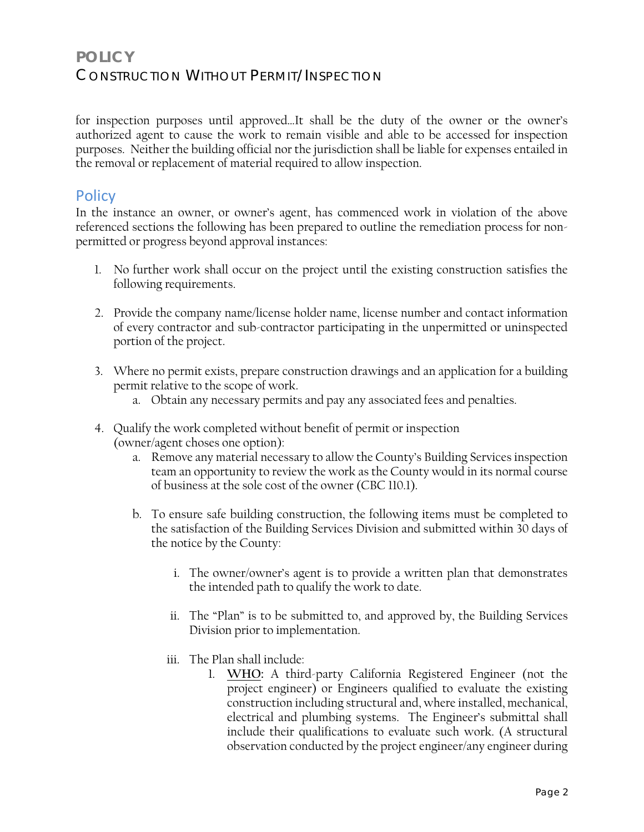# **POLICY** CONSTRUCTION WITHOUT PERMIT/INSPECTION

for inspection purposes until approved…It shall be the duty of the owner or the owner's authorized agent to cause the work to remain visible and able to be accessed for inspection purposes. Neither the building official nor the jurisdiction shall be liable for expenses entailed in the removal or replacement of material required to allow inspection.

## **Policy**

In the instance an owner, or owner's agent, has commenced work in violation of the above referenced sections the following has been prepared to outline the remediation process for nonpermitted or progress beyond approval instances:

- 1. No further work shall occur on the project until the existing construction satisfies the following requirements.
- 2. Provide the company name/license holder name, license number and contact information of every contractor and sub-contractor participating in the unpermitted or uninspected portion of the project.
- 3. Where no permit exists, prepare construction drawings and an application for a building permit relative to the scope of work.
	- a. Obtain any necessary permits and pay any associated fees and penalties.
- 4. Qualify the work completed without benefit of permit or inspection (owner/agent choses one option):
	- a. Remove any material necessary to allow the County's Building Services inspection team an opportunity to review the work as the County would in its normal course of business at the sole cost of the owner (CBC 110.1).
	- b. To ensure safe building construction, the following items must be completed to the satisfaction of the Building Services Division and submitted within 30 days of the notice by the County:
		- i. The owner/owner's agent is to provide a written plan that demonstrates the intended path to qualify the work to date.
		- ii. The "Plan" is to be submitted to, and approved by, the Building Services Division prior to implementation.
		- iii. The Plan shall include:
			- 1. **WHO:** A third-party California Registered Engineer (not the project engineer) or Engineers qualified to evaluate the existing construction including structural and, where installed, mechanical, electrical and plumbing systems. The Engineer's submittal shall include their qualifications to evaluate such work. (A structural observation conducted by the project engineer/any engineer during